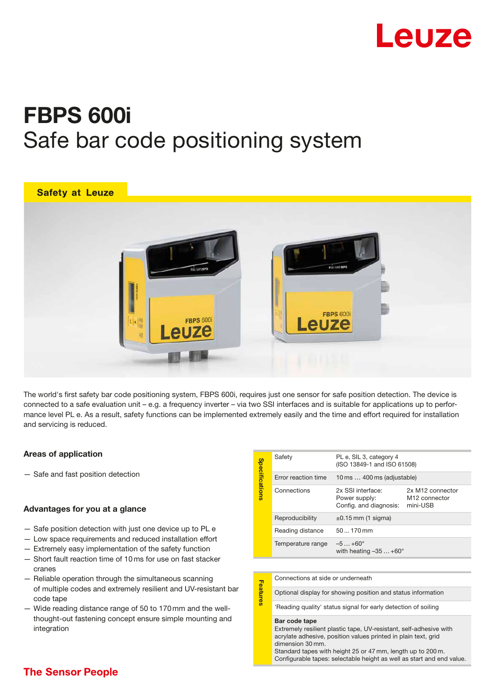

# FBPS 600i Safe bar code positioning system



The world's first safety bar code positioning system, FBPS 600i, requires just one sensor for safe position detection. The device is connected to a safe evaluation unit – e.g. a frequency inverter – via two SSI interfaces and is suitable for applications up to performance level PL e. As a result, safety functions can be implemented extremely easily and the time and effort required for installation and servicing is reduced.

#### Areas of application

— Safe and fast position detection

# Advantages for you at a glance

- Safe position detection with just one device up to PL e
- Low space requirements and reduced installation effort
- Extremely easy implementation of the safety function
- Short fault reaction time of 10 ms for use on fast stacker cranes
- Reliable operation through the simultaneous scanning of multiple codes and extremely resilient and UV-resistant bar code tape
- Wide reading distance range of 50 to 170 mm and the wellthought-out fastening concept ensure simple mounting and integration

| <b>Specifications</b> | Safety              | PL e, SIL 3, category 4<br>(ISO 13849-1 and ISO 61508)       |                                                                       |
|-----------------------|---------------------|--------------------------------------------------------------|-----------------------------------------------------------------------|
|                       | Error reaction time | 10 ms  400 ms (adjustable)                                   |                                                                       |
|                       | Connections         | 2x SSI interface:<br>Power supply:<br>Config. and diagnosis: | 2x M <sub>12</sub> connector<br>M <sub>12</sub> connector<br>mini-USB |
|                       | Reproducibility     | $\pm 0.15$ mm (1 sigma)                                      |                                                                       |
|                       | Reading distance    | $50170$ mm                                                   |                                                                       |
|                       | Temperature range   | $-5+60^{\circ}$<br>with heating $-35+60^{\circ}$             |                                                                       |

# Connections at side or underneath Feature

Optional display for showing position and status information

'Reading quality' status signal for early detection of soiling

#### Bar code tape

Features

Extremely resilient plastic tape, UV-resistant, self-adhesive with acrylate adhesive, position values printed in plain text, grid dimension 30 mm.

Standard tapes with height 25 or 47 mm, length up to 200 m. Configurable tapes: selectable height as well as start and end value.

# **The Sensor People**